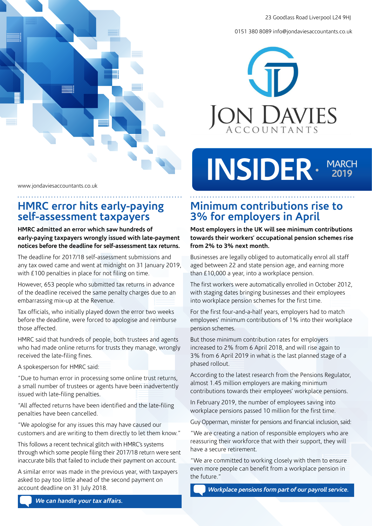0151 380 8089 info@jondaviesaccountants.co.uk





#### www.jondaviesaccountants.co.uk

### **HMRC error hits early-paying self-assessment taxpayers**

**HMRC admitted an error which saw hundreds of early-paying taxpayers wrongly issued with late-payment notices before the deadline for self-assessment tax returns.**

The deadline for 2017/18 self-assessment submissions and any tax owed came and went at midnight on 31 January 2019, with £100 penalties in place for not filing on time.

However, 653 people who submitted tax returns in advance of the deadline received the same penalty charges due to an embarrassing mix-up at the Revenue.

Tax officials, who initially played down the error two weeks before the deadline, were forced to apologise and reimburse those affected.

HMRC said that hundreds of people, both trustees and agents who had made online returns for trusts they manage, wrongly received the late-filing fines.

A spokesperson for HMRC said:

"Due to human error in processing some online trust returns, a small number of trustees or agents have been inadvertently issued with late-filing penalties.

"All affected returns have been identified and the late-filing penalties have been cancelled.

"We apologise for any issues this may have caused our customers and are writing to them directly to let them know."

This follows a recent technical glitch with HMRC's systems through which some people filing their 2017/18 return were sent inaccurate bills that failed to include their payment on account.

A similar error was made in the previous year, with taxpayers asked to pay too little ahead of the second payment on account deadline on 31 July 2018.

# **Minimum contributions rise to 3% for employers in April**

**Most employers in the UK will see minimum contributions towards their workers' occupational pension schemes rise from 2% to 3% next month.** 

Businesses are legally obliged to automatically enrol all staff aged between 22 and state pension age, and earning more than £10,000 a year, into a workplace pension.

The first workers were automatically enrolled in October 2012, with staging dates bringing businesses and their employees into workplace pension schemes for the first time.

For the first four-and-a-half years, employers had to match employees' minimum contributions of 1% into their workplace pension schemes.

But those minimum contribution rates for employers increased to 2% from 6 April 2018, and will rise again to 3% from 6 April 2019 in what is the last planned stage of a phased rollout.

According to the latest research from the Pensions Regulator, almost 1.45 million employers are making minimum contributions towards their employees' workplace pensions.

In February 2019, the number of employees saving into workplace pensions passed 10 million for the first time.

Guy Opperman, minister for pensions and financial inclusion, said:

"We are creating a nation of responsible employers who are reassuring their workforce that with their support, they will have a secure retirement.

"We are committed to working closely with them to ensure even more people can benefit from a workplace pension in the future."